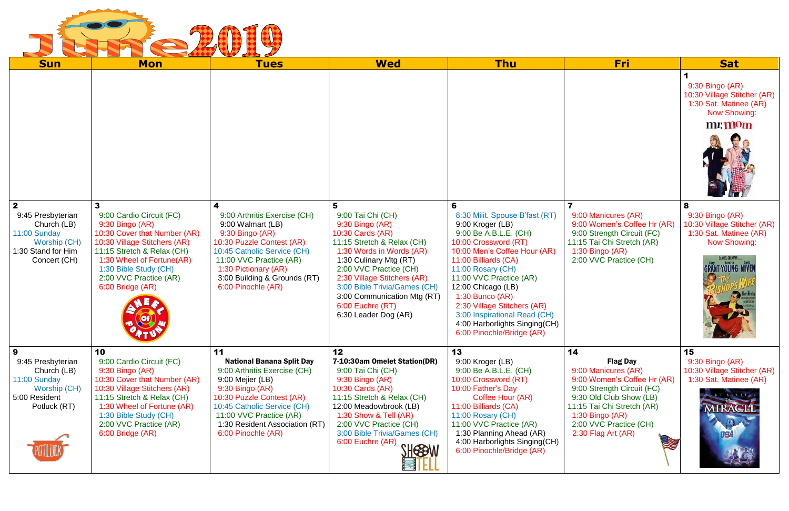

| <b>Sun</b>                                                                        | <b>Mon</b>                                                                                                                                                                                                        | <b>Tues</b>                                                                                                                                                                                               | <b>Wed</b>                                                                                                                                                                                                                                                                                  | <b>Thu</b>                                                                                                                                                                                                                                                                                                                                        | <b>Fri</b>                                                                                                                           | <b>Sat</b>                                                                                                                             |
|-----------------------------------------------------------------------------------|-------------------------------------------------------------------------------------------------------------------------------------------------------------------------------------------------------------------|-----------------------------------------------------------------------------------------------------------------------------------------------------------------------------------------------------------|---------------------------------------------------------------------------------------------------------------------------------------------------------------------------------------------------------------------------------------------------------------------------------------------|---------------------------------------------------------------------------------------------------------------------------------------------------------------------------------------------------------------------------------------------------------------------------------------------------------------------------------------------------|--------------------------------------------------------------------------------------------------------------------------------------|----------------------------------------------------------------------------------------------------------------------------------------|
| $\overline{2}$<br>9:45 Presbyterian                                               | 3<br>9:00 Cardio Circuit (FC)                                                                                                                                                                                     | 9:00 Arthritis Exercise (CH)                                                                                                                                                                              | 5<br>9:00 Tai Chi (CH)                                                                                                                                                                                                                                                                      | 6<br>8:30 Milit. Spouse B'fast (RT)                                                                                                                                                                                                                                                                                                               | $\overline{\mathbf{z}}$<br>9:00 Manicures (AR)                                                                                       | $9:30$ Bingo (AR)<br>10:30 Village Stitcher (AR)<br>1:30 Sat. Matinee (AR)<br><b>Now Showing:</b><br>mr. mom<br>8<br>9:30 Bingo (AR)   |
| Church (LB)<br>11:00 Sunday<br>Worship (CH)<br>1:30 Stand for Him<br>Concert (CH) | 9:30 Bingo (AR)<br>10:30 Cover that Number (AR)<br>10:30 Village Stitchers (AR)<br>11:15 Stretch & Relax (CH)<br>1:30 Wheel of Fortune(AR)<br>1:30 Bible Study (CH)<br>2:00 VVC Practice (AR)<br>6:00 Bridge (AR) | 9:00 Walmart (LB)<br>9:30 Bingo (AR)<br>10:30 Puzzle Contest (AR)<br>10:45 Catholic Service (CH)<br>11:00 VVC Practice (AR)<br>1:30 Pictionary (AR)<br>3:00 Building & Grounds (RT)<br>6:00 Pinochle (AR) | 9:30 Bingo (AR)<br>10:30 Cards (AR)<br>11:15 Stretch & Relax (CH)<br>1:30 Words in Words (AR)<br>1:30 Culinary Mtg (RT)<br>2:00 VVC Practice (CH)<br>2:30 Village Stitchers (AR)<br>3:00 Bible Trivia/Games (CH)<br>3:00 Communication Mtg (RT)<br>6:00 Euchre (RT)<br>6:30 Leader Dog (AR) | 9:00 Kroger (LB)<br>9:00 Be A.B.L.E. (CH)<br>10:00 Crossword (RT)<br>10:00 Men's Coffee Hour (AR)<br>11:00 Billiards (CA)<br>11:00 Rosary (CH)<br>11:00 VVC Practice (AR)<br>12:00 Chicago (LB)<br>$1:30$ Bunco (AR)<br>2:30 Village Stitchers (AR)<br>3:00 Inspirational Read (CH)<br>4:00 Harborlights Singing(CH)<br>6:00 Pinochle/Bridge (AR) | 9:00 Women's Coffee Hr (AR)<br>9:00 Strength Circuit (FC)<br>11:15 Tai Chi Stretch (AR)<br>1:30 Bingo (AR)<br>2:00 VVC Practice (CH) | 10:30 Village Stitcher (AR)<br>1:30 Sat. Matinee (AR)<br><b>Now Showing:</b><br>AMUEL GOLDWYN <b>Agger</b><br><b>GRANT-YOUNG NIVER</b> |
| 9<br>9:45 Presbyterian<br>Church (LB)                                             | 10<br>9:00 Cardio Circuit (FC)<br>9:30 Bingo (AR)                                                                                                                                                                 | 11<br><b>National Banana Split Day</b><br>9:00 Arthritis Exercise (CH)                                                                                                                                    | 12<br>7-10:30am Omelet Station(DR)<br>9:00 Tai Chi (CH)                                                                                                                                                                                                                                     | 13<br>9:00 Kroger (LB)<br>9:00 Be A.B.L.E. (CH)                                                                                                                                                                                                                                                                                                   | 14<br><b>Flag Day</b><br>9:00 Manicures (AR)                                                                                         | 15<br>$9:30$ Bingo $(AR)$<br>10:30 Village Stitcher (AR)                                                                               |
| 11:00 Sunday<br>Worship (CH)<br>5:00 Resident                                     | 10:30 Cover that Number (AR)<br>10:30 Village Stitchers (AR)<br>11:15 Stretch & Relax (CH)                                                                                                                        | 9:00 Mejier (LB)<br>9:30 Bingo (AR)<br>10:30 Puzzle Contest (AR)                                                                                                                                          | 9:30 Bingo (AR)<br>10:30 Cards (AR)<br>11:15 Stretch & Relax (CH)                                                                                                                                                                                                                           | 10:00 Crossword (RT)<br>10:00 Father's Day<br>Coffee Hour (AR)                                                                                                                                                                                                                                                                                    | 9:00 Women's Coffee Hr (AR)<br>9:00 Strength Circuit (FC)<br>9:30 Old Club Show (LB)                                                 | 1:30 Sat. Matinee (AR)                                                                                                                 |
| Potluck (RT)                                                                      | 1:30 Wheel of Fortune (AR)<br>1:30 Bible Study (CH)<br>2:00 VVC Practice (AR)<br>6:00 Bridge (AR)                                                                                                                 | 10:45 Catholic Service (CH)<br>11:00 VVC Practice (AR)<br>1:30 Resident Association (RT)<br>6:00 Pinochle (AR)                                                                                            | 12:00 Meadowbrook (LB)<br>1:30 Show & Tell (AR)<br>2:00 VVC Practice (CH)<br>3:00 Bible Trivia/Games (CH)<br>6:00 Euchre (AR)<br><b>SHESOW</b>                                                                                                                                              | 11:00 Billiards (CA)<br>11:00 Rosary (CH)<br>11:00 VVC Practice (AR)<br>1:30 Planning Ahead (AR)<br>4:00 Harborlights Singing(CH)<br>6:00 Pinochle/Bridge (AR)                                                                                                                                                                                    | 11:15 Tai Chi Stretch (AR)<br>1:30 Bingo $(AR)$<br>2:00 VVC Practice (CH)<br>2:30 Flag Art (AR)                                      | <b>MIRAGLE</b><br><b>USA</b>                                                                                                           |